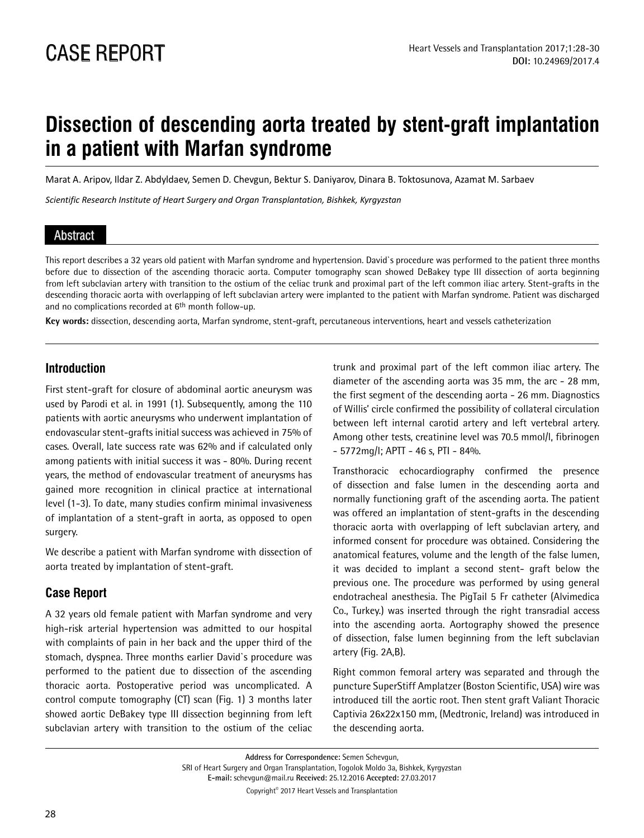# **Dissection of descending aorta treated by stent-graft implantation in a patient with Marfan syndrome**

Marat A. Aripov, Ildar Z. Abdyldaev, Semen D. Chevgun, Bektur S. Daniyarov, Dinara B. Toktosunova, Azamat M. Sarbaev

*Scientific Research Institute of Heart Surgery and Organ Transplantation, Bishkek, Kyrgyzstan*

### Abstract

This report describes a 32 years old patient with Marfan syndrome and hypertension. David`s procedure was performed to the patient three months before due to dissection of the ascending thoracic aorta. Computer tomography scan showed DeBakey type III dissection of aorta beginning from left subclavian artery with transition to the ostium of the celiac trunk and proximal part of the left common iliac artery. Stent-grafts in the descending thoracic aorta with overlapping of left subclavian artery were implanted to the patient with Marfan syndrome. Patient was discharged and no complications recorded at 6<sup>th</sup> month follow-up.

**Key words:** dissection, descending aorta, Marfan syndrome, stent-graft, percutaneous interventions, heart and vessels catheterization

## **Introduction**

First stent-graft for closure of abdominal aortic aneurysm was used by Parodi et al. in 1991 (1). Subsequently, among the 110 patients with aortic aneurysms who underwent implantation of endovascular stent-grafts initial success was achieved in 75% of cases. Overall, late success rate was 62% and if calculated only among patients with initial success it was - 80%. During recent years, the method of endovascular treatment of aneurysms has gained more recognition in clinical practice at international level (1-3). To date, many studies confirm minimal invasiveness of implantation of a stent-graft in aorta, as opposed to open surgery.

We describe a patient with Marfan syndrome with dissection of aorta treated by implantation of stent-graft.

## **Case Report**

A 32 years old female patient with Marfan syndrome and very high-risk arterial hypertension was admitted to our hospital with complaints of pain in her back and the upper third of the stomach, dyspnea. Three months earlier David`s procedure was performed to the patient due to dissection of the ascending thoracic aorta. Postoperative period was uncomplicated. A control compute tomography (CT) scan (Fig. 1) 3 months later showed aortic DeBakey type III dissection beginning from left subclavian artery with transition to the ostium of the celiac trunk and proximal part of the left common iliac artery. The diameter of the ascending aorta was 35 mm, the arc - 28 mm, the first segment of the descending aorta - 26 mm. Diagnostics of Willis' circle confirmed the possibility of collateral circulation between left internal carotid artery and left vertebral artery. Among other tests, creatinine level was 70.5 mmol/l, fibrinogen  $-5772$ mg/l; APTT - 46 s, PTI - 84%.

Transthoracic echocardiography confirmed the presence of dissection and false lumen in the descending aorta and normally functioning graft of the ascending aorta. The patient was offered an implantation of stent-grafts in the descending thoracic aorta with overlapping of left subclavian artery, and informed consent for procedure was obtained. Considering the anatomical features, volume and the length of the false lumen, it was decided to implant a second stent- graft below the previous one. The procedure was performed by using general endotracheal anesthesia. The PigTail 5 Fr catheter (Alvimedica Co., Turkey.) was inserted through the right transradial access into the ascending aorta. Aortography showed the presence of dissection, false lumen beginning from the left subclavian artery (Fig. 2A,B).

Right common femoral artery was separated and through the puncture SuperStiff Amplatzer (Boston Scientific, USA) wire was introduced till the aortic root. Then stent graft Valiant Thoracic Captivia 26x22x150 mm, (Medtronic, Ireland) was introduced in the descending aorta.

**Address for Correspondence:** Semen Schevgun, SRI of Heart Surgery and Organ Transplantation, Togolok Moldo 3a, Bishkek, Kyrgyzstan **E-mail:** schevgun@mail.ru **Received:** 25.12.2016 **Accepted:** 27.03.2017

Copyright© 2017 Heart Vessels and Transplantation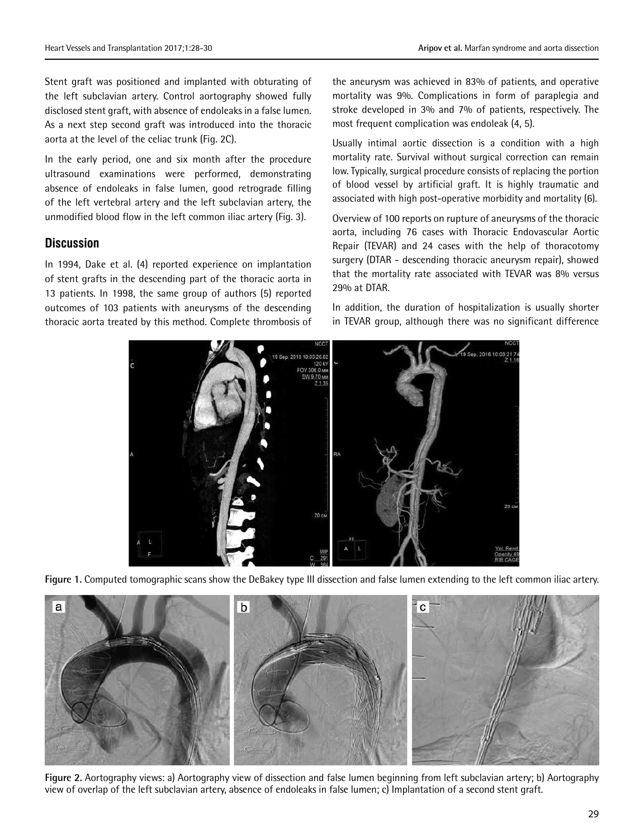Stent graft was positioned and implanted with obturating of the left subclavian artery. Control aortography showed fully disclosed stent graft, with absence of endoleaks in a false lumen. As a next step second graft was introduced into the thoracic aorta at the level of the celiac trunk (Fig. 2C).

In the early period, one and six month after the procedure ultrasound examinations were performed, demonstrating absence of endoleaks in false lumen, good retrograde filling of the left vertebral artery and the left subclavian artery, the unmodified blood flow in the left common iliac artery (Fig. 3).

#### **Discussion**

In 1994, Dake et al. (4) reported experience on implantation of stent grafts in the descending part of the thoracic aorta in 13 patients. In 1998, the same group of authors (5) reported outcomes of 103 patients with aneurysms of the descending thoracic aorta treated by this method. Complete thrombosis of

the aneurysm was achieved in 83% of patients, and operative mortality was 9%. Complications in form of paraplegia and stroke developed in 3% and 7% of patients, respectively. The most frequent complication was endoleak (4, 5).

Usually intimal aortic dissection is a condition with a high mortality rate. Survival without surgical correction can remain low. Typically, surgical procedure consists of replacing the portion of blood vessel by artificial graft. It is highly traumatic and associated with high post-operative morbidity and mortality (6).

Overview of 100 reports on rupture of aneurysms of the thoracic aorta, including 76 cases with Thoracic Endovascular Aortic Repair (TEVAR) and 24 cases with the help of thoracotomy surgery (DTAR - descending thoracic aneurysm repair), showed that the mortality rate associated with TEVAR was 8% versus 29% at DTAR.

In addition, the duration of hospitalization is usually shorter in TEVAR group, although there was no significant difference



**Figure 1.** Computed tomographic scans show the DeBakey type III dissection and false lumen extending to the left common iliac artery.



**Figure 2.** Aortography views: a) Aortography view of dissection and false lumen beginning from left subclavian artery; b) Aortography view of overlap of the left subclavian artery, absence of endoleaks in false lumen; c) Implantation of a second stent graft.